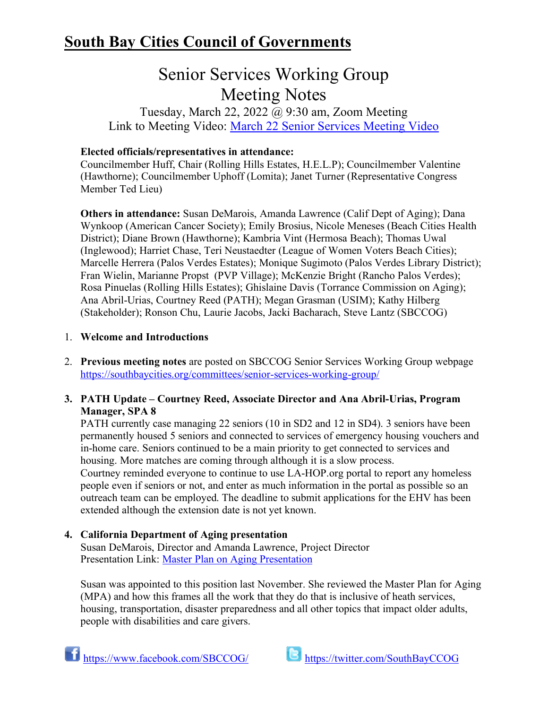## **South Bay Cities Council of Governments**

# Senior Services Working Group Meeting Notes

Tuesday, March 22, 2022 @ 9:30 am, Zoom Meeting Link to Meeting Video: [March 22 Senior Services Meeting Video](https://www.youtube.com/watch?v=suzgU5zhCcA)

## **Elected officials/representatives in attendance:**

Councilmember Huff, Chair (Rolling Hills Estates, H.E.L.P); Councilmember Valentine (Hawthorne); Councilmember Uphoff (Lomita); Janet Turner (Representative Congress Member Ted Lieu)

**Others in attendance:** Susan DeMarois, Amanda Lawrence (Calif Dept of Aging); Dana Wynkoop (American Cancer Society); Emily Brosius, Nicole Meneses (Beach Cities Health District); Diane Brown (Hawthorne); Kambria Vint (Hermosa Beach); Thomas Uwal (Inglewood); Harriet Chase, Teri Neustaedter (League of Women Voters Beach Cities); Marcelle Herrera (Palos Verdes Estates); Monique Sugimoto (Palos Verdes Library District); Fran Wielin, Marianne Propst (PVP Village); McKenzie Bright (Rancho Palos Verdes); Rosa Pinuelas (Rolling Hills Estates); Ghislaine Davis (Torrance Commission on Aging); Ana Abril-Urias, Courtney Reed (PATH); Megan Grasman (USIM); Kathy Hilberg (Stakeholder); Ronson Chu, Laurie Jacobs, Jacki Bacharach, Steve Lantz (SBCCOG)

## 1. **Welcome and Introductions**

2. **Previous meeting notes** are posted on SBCCOG Senior Services Working Group webpage <https://southbaycities.org/committees/senior-services-working-group/>

## **3. PATH Update – Courtney Reed, Associate Director and Ana Abril-Urias, Program Manager, SPA 8**

PATH currently case managing 22 seniors (10 in SD2 and 12 in SD4). 3 seniors have been permanently housed 5 seniors and connected to services of emergency housing vouchers and in-home care. Seniors continued to be a main priority to get connected to services and housing. More matches are coming through although it is a slow process.

Courtney reminded everyone to continue to use LA-HOP.org portal to report any homeless people even if seniors or not, and enter as much information in the portal as possible so an outreach team can be employed. The deadline to submit applications for the EHV has been extended although the extension date is not yet known.

## **4. California Department of Aging presentation**

Susan DeMarois, Director and Amanda Lawrence, Project Director Presentation Link: [Master Plan on Aging Presentation](https://southbaycities.org/wp-content/uploads/2022/02/Master-Plan-on-Aging-Senior-Services-WG.pdf)

Susan was appointed to this position last November. She reviewed the Master Plan for Aging (MPA) and how this frames all the work that they do that is inclusive of heath services, housing, transportation, disaster preparedness and all other topics that impact older adults, people with disabilities and care givers.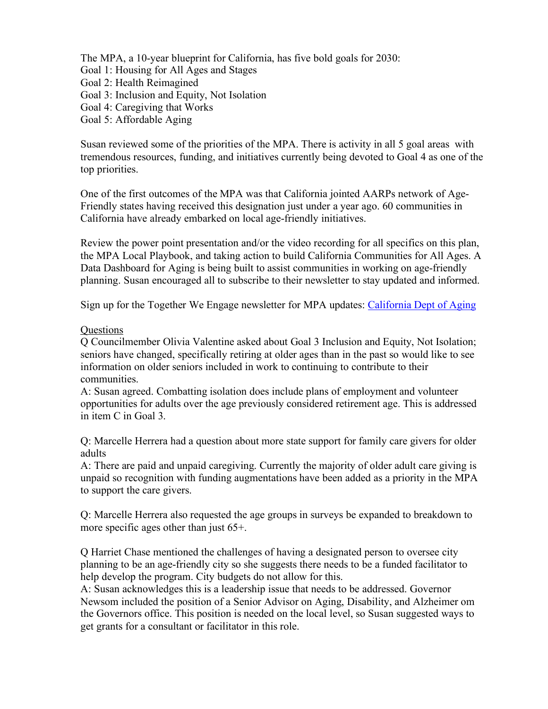The MPA, a 10-year blueprint for California, has five bold goals for 2030: Goal 1: Housing for All Ages and Stages Goal 2: Health Reimagined Goal 3: Inclusion and Equity, Not Isolation Goal 4: Caregiving that Works Goal 5: Affordable Aging

Susan reviewed some of the priorities of the MPA. There is activity in all 5 goal areas with tremendous resources, funding, and initiatives currently being devoted to Goal 4 as one of the top priorities.

One of the first outcomes of the MPA was that California jointed AARPs network of Age-Friendly states having received this designation just under a year ago. 60 communities in California have already embarked on local age-friendly initiatives.

Review the power point presentation and/or the video recording for all specifics on this plan, the MPA Local Playbook, and taking action to build California Communities for All Ages. A Data Dashboard for Aging is being built to assist communities in working on age-friendly planning. Susan encouraged all to subscribe to their newsletter to stay updated and informed.

Sign up for the Together We Engage newsletter for MPA updates: [California Dept of Aging](https://aging.us4.list-manage.com/subscribe?id=173d0260aa&u=885fd0fb81501c74e82ac45b1)

#### **Questions**

Q Councilmember Olivia Valentine asked about Goal 3 Inclusion and Equity, Not Isolation; seniors have changed, specifically retiring at older ages than in the past so would like to see information on older seniors included in work to continuing to contribute to their communities.

A: Susan agreed. Combatting isolation does include plans of employment and volunteer opportunities for adults over the age previously considered retirement age. This is addressed in item C in Goal 3.

Q: Marcelle Herrera had a question about more state support for family care givers for older adults

A: There are paid and unpaid caregiving. Currently the majority of older adult care giving is unpaid so recognition with funding augmentations have been added as a priority in the MPA to support the care givers.

Q: Marcelle Herrera also requested the age groups in surveys be expanded to breakdown to more specific ages other than just 65+.

Q Harriet Chase mentioned the challenges of having a designated person to oversee city planning to be an age-friendly city so she suggests there needs to be a funded facilitator to help develop the program. City budgets do not allow for this.

A: Susan acknowledges this is a leadership issue that needs to be addressed. Governor Newsom included the position of a Senior Advisor on Aging, Disability, and Alzheimer om the Governors office. This position is needed on the local level, so Susan suggested ways to get grants for a consultant or facilitator in this role.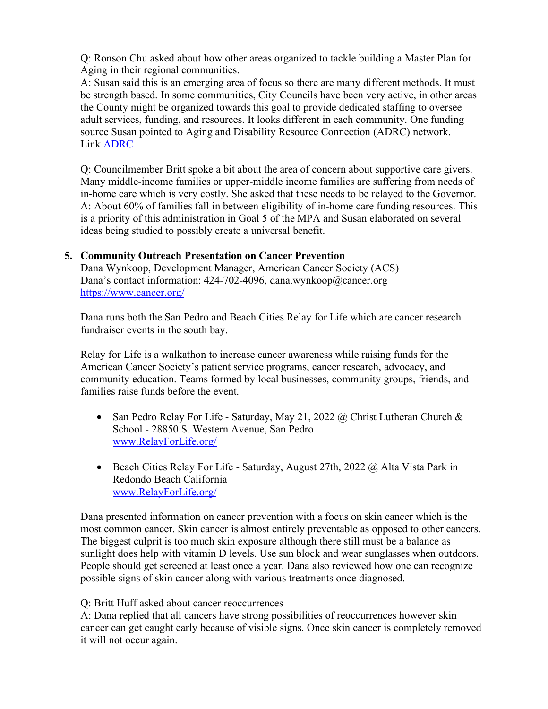Q: Ronson Chu asked about how other areas organized to tackle building a Master Plan for Aging in their regional communities.

A: Susan said this is an emerging area of focus so there are many different methods. It must be strength based. In some communities, City Councils have been very active, in other areas the County might be organized towards this goal to provide dedicated staffing to oversee adult services, funding, and resources. It looks different in each community. One funding source Susan pointed to Aging and Disability Resource Connection (ADRC) network. Link [ADRC](https://www.aging.ca.gov/Providers_and_Partners/Aging_and_Disability_Resource_Connection/)

Q: Councilmember Britt spoke a bit about the area of concern about supportive care givers. Many middle-income families or upper-middle income families are suffering from needs of in-home care which is very costly. She asked that these needs to be relayed to the Governor. A: About 60% of families fall in between eligibility of in-home care funding resources. This is a priority of this administration in Goal 5 of the MPA and Susan elaborated on several ideas being studied to possibly create a universal benefit.

#### **5. Community Outreach Presentation on Cancer Prevention**

Dana Wynkoop, Development Manager, American Cancer Society (ACS) Dana's contact information: 424-702-4096, dana.wynkoop@cancer.org <https://www.cancer.org/>

Dana runs both the San Pedro and Beach Cities Relay for Life which are cancer research fundraiser events in the south bay.

Relay for Life is a walkathon to increase cancer awareness while raising funds for the American Cancer Society's patient service programs, cancer research, advocacy, and community education. Teams formed by local businesses, community groups, friends, and families raise funds before the event.

- San Pedro Relay For Life Saturday, May 21, 2022 @ Christ Lutheran Church & School - 28850 S. Western Avenue, San Pedro [www.RelayForLife.org/](http://www.relayforlife.org/)
- Beach Cities Relay For Life Saturday, August 27th, 2022 @ Alta Vista Park in Redondo Beach California [www.RelayForLife.org/](http://www.relayforlife.org/)

Dana presented information on cancer prevention with a focus on skin cancer which is the most common cancer. Skin cancer is almost entirely preventable as opposed to other cancers. The biggest culprit is too much skin exposure although there still must be a balance as sunlight does help with vitamin D levels. Use sun block and wear sunglasses when outdoors. People should get screened at least once a year. Dana also reviewed how one can recognize possible signs of skin cancer along with various treatments once diagnosed.

#### Q: Britt Huff asked about cancer reoccurrences

A: Dana replied that all cancers have strong possibilities of reoccurrences however skin cancer can get caught early because of visible signs. Once skin cancer is completely removed it will not occur again.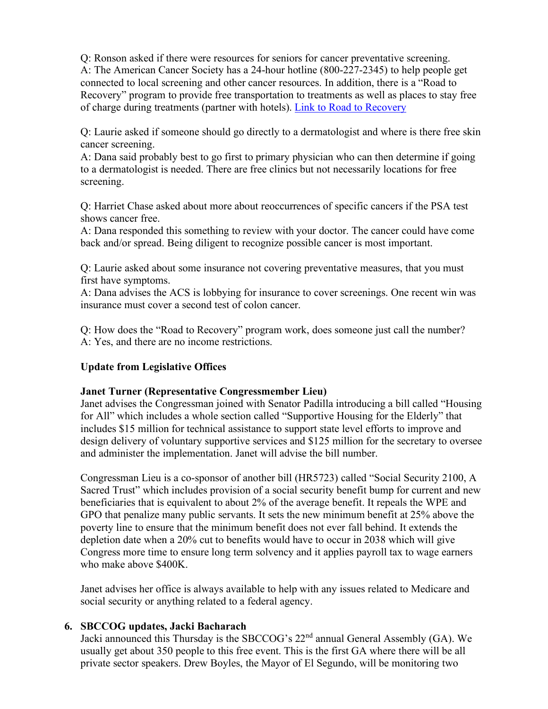Q: Ronson asked if there were resources for seniors for cancer preventative screening. A: The American Cancer Society has a 24-hour hotline (800-227-2345) to help people get connected to local screening and other cancer resources. In addition, there is a "Road to Recovery" program to provide free transportation to treatments as well as places to stay free of charge during treatments (partner with hotels). [Link to Road to Recovery](https://www.cancer.org/treatment/support-programs-and-services/road-to-recovery.html#:%7E:text=The%20American%20Cancer%20Society%20Road%20To%20Recovery%20program,to%20drive%20themselves.%20How%20does%20the%20program%20work%3F)

Q: Laurie asked if someone should go directly to a dermatologist and where is there free skin cancer screening.

A: Dana said probably best to go first to primary physician who can then determine if going to a dermatologist is needed. There are free clinics but not necessarily locations for free screening.

Q: Harriet Chase asked about more about reoccurrences of specific cancers if the PSA test shows cancer free.

A: Dana responded this something to review with your doctor. The cancer could have come back and/or spread. Being diligent to recognize possible cancer is most important.

Q: Laurie asked about some insurance not covering preventative measures, that you must first have symptoms.

A: Dana advises the ACS is lobbying for insurance to cover screenings. One recent win was insurance must cover a second test of colon cancer.

Q: How does the "Road to Recovery" program work, does someone just call the number? A: Yes, and there are no income restrictions.

#### **Update from Legislative Offices**

#### **Janet Turner (Representative Congressmember Lieu)**

Janet advises the Congressman joined with Senator Padilla introducing a bill called "Housing for All" which includes a whole section called "Supportive Housing for the Elderly" that includes \$15 million for technical assistance to support state level efforts to improve and design delivery of voluntary supportive services and \$125 million for the secretary to oversee and administer the implementation. Janet will advise the bill number.

Congressman Lieu is a co-sponsor of another bill (HR5723) called "Social Security 2100, A Sacred Trust" which includes provision of a social security benefit bump for current and new beneficiaries that is equivalent to about 2% of the average benefit. It repeals the WPE and GPO that penalize many public servants. It sets the new minimum benefit at 25% above the poverty line to ensure that the minimum benefit does not ever fall behind. It extends the depletion date when a 20% cut to benefits would have to occur in 2038 which will give Congress more time to ensure long term solvency and it applies payroll tax to wage earners who make above \$400K.

Janet advises her office is always available to help with any issues related to Medicare and social security or anything related to a federal agency.

#### **6. SBCCOG updates, Jacki Bacharach**

Jacki announced this Thursday is the SBCCOG's 22nd annual General Assembly (GA). We usually get about 350 people to this free event. This is the first GA where there will be all private sector speakers. Drew Boyles, the Mayor of El Segundo, will be monitoring two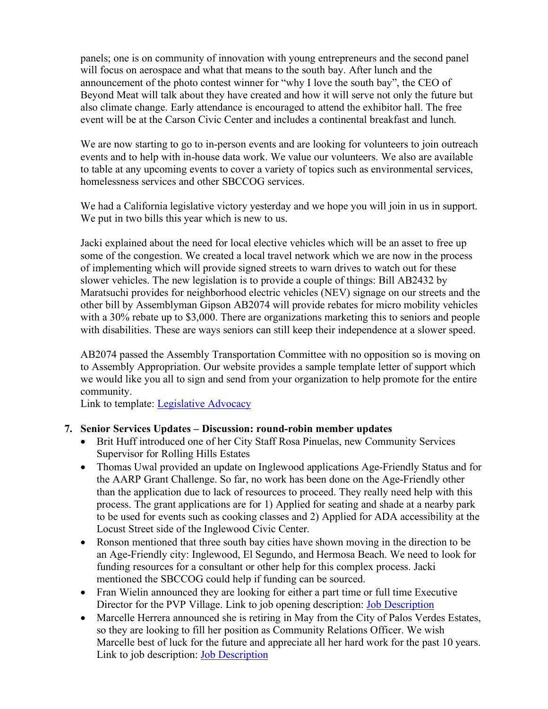panels; one is on community of innovation with young entrepreneurs and the second panel will focus on aerospace and what that means to the south bay. After lunch and the announcement of the photo contest winner for "why I love the south bay", the CEO of Beyond Meat will talk about they have created and how it will serve not only the future but also climate change. Early attendance is encouraged to attend the exhibitor hall. The free event will be at the Carson Civic Center and includes a continental breakfast and lunch.

We are now starting to go to in-person events and are looking for volunteers to join outreach events and to help with in-house data work. We value our volunteers. We also are available to table at any upcoming events to cover a variety of topics such as environmental services, homelessness services and other SBCCOG services.

We had a California legislative victory yesterday and we hope you will join in us in support. We put in two bills this year which is new to us.

Jacki explained about the need for local elective vehicles which will be an asset to free up some of the congestion. We created a local travel network which we are now in the process of implementing which will provide signed streets to warn drives to watch out for these slower vehicles. The new legislation is to provide a couple of things: Bill AB2432 by Maratsuchi provides for neighborhood electric vehicles (NEV) signage on our streets and the other bill by Assemblyman Gipson AB2074 will provide rebates for micro mobility vehicles with a 30% rebate up to \$3,000. There are organizations marketing this to seniors and people with disabilities. These are ways seniors can still keep their independence at a slower speed.

AB2074 passed the Assembly Transportation Committee with no opposition so is moving on to Assembly Appropriation. Our website provides a sample template letter of support which we would like you all to sign and send from your organization to help promote for the entire community.

Link to template: [Legislative Advocacy](https://southbaycities.org/programs/advocacy/)

#### **7. Senior Services Updates – Discussion: round-robin member updates**

- Brit Huff introduced one of her City Staff Rosa Pinuelas, new Community Services Supervisor for Rolling Hills Estates
- Thomas Uwal provided an update on Inglewood applications Age-Friendly Status and for the AARP Grant Challenge. So far, no work has been done on the Age-Friendly other than the application due to lack of resources to proceed. They really need help with this process. The grant applications are for 1) Applied for seating and shade at a nearby park to be used for events such as cooking classes and 2) Applied for ADA accessibility at the Locust Street side of the Inglewood Civic Center.
- Ronson mentioned that three south bay cities have shown moving in the direction to be an Age-Friendly city: Inglewood, El Segundo, and Hermosa Beach. We need to look for funding resources for a consultant or other help for this complex process. Jacki mentioned the SBCCOG could help if funding can be sourced.
- Fran Wielin announced they are looking for either a part time or full time Executive Director for the PVP Village. Link to job opening description: **Job Description**
- Marcelle Herrera announced she is retiring in May from the City of Palos Verdes Estates, so they are looking to fill her position as Community Relations Officer. We wish Marcelle best of luck for the future and appreciate all her hard work for the past 10 years. Link to job description: [Job Description](https://www.governmentjobs.com/careers/pvestates)